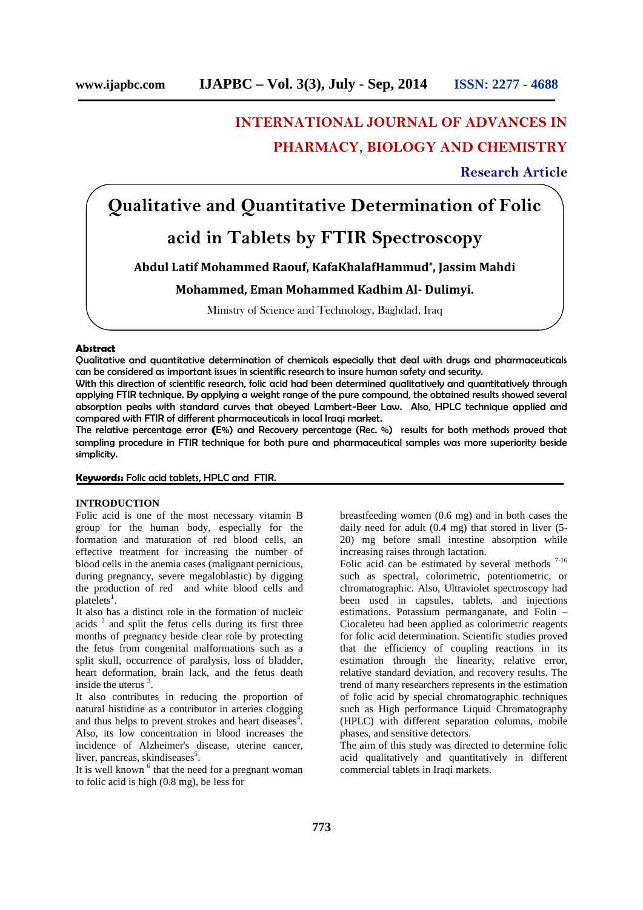# **INTERNATIONAL JOURNAL OF ADVANCES IN PHARMACY, BIOLOGY AND CHEMISTRY**

## **Research Article**

# **Qualitative and Quantitative Determination of Folic acid in Tablets by FTIR Spectroscopy**

**Abdul Latif Mohammed Raouf, KafaKhalafHammud\* , Jassim Mahdi**

### **Mohammed, Eman Mohammed Kadhim Al- Dulimyi.**

Ministry of Science and Technology, Baghdad, Iraq

#### **Abstract**

Qualitative and quantitative determination of chemicals especially that deal with drugs and pharmaceuticals can be considered as important issues in scientific research to insure human safety and security.

With this direction of scientific research, folic acid had been determined qualitatively and quantitatively through applying FTIR technique. By applying a weight range of the pure compound, the obtained results showed several absorption peaks with standard curves that obeyed Lambert-Beer Law. Also, HPLC technique applied and compared with FTIR of different pharmaceuticals in local Iraqi market.

The relative percentage error **(**E%) and Recovery percentage (Rec. %) results for both methods proved that sampling procedure in FTIR technique for both pure and pharmaceutical samples was more superiority beside simplicity.

#### **Keywords:** Folic acid tablets, HPLC and FTIR.

#### **INTRODUCTION**

Folic acid is one of the most necessary vitamin B group for the human body, especially for the formation and maturation of red blood cells, an effective treatment for increasing the number of blood cells in the anemia cases (malignant pernicious, during pregnancy, severe megaloblastic) by digging the production of red and white blood cells and platelets<sup>1</sup>.

It also has a distinct role in the formation of nucleic acids  $2$  and split the fetus cells during its first three months of pregnancy beside clear role by protecting the fetus from congenital malformations such as a split skull, occurrence of paralysis, loss of bladder, heart deformation, brain lack, and the fetus death inside the uterus <sup>3</sup> .

It also contributes in reducing the proportion of natural histidine as a contributor in arteries clogging and thus helps to prevent strokes and heart diseases<sup>4</sup> . Also, its low concentration in blood increases the incidence of Alzheimer's disease, uterine cancer, liver, pancreas, skindiseases<sup>5</sup>.

It is well known <sup>6</sup> that the need for a pregnant woman to folic acid is high (0.8 mg), be less for

breastfeeding women (0.6 mg) and in both cases the daily need for adult (0.4 mg) that stored in liver (5- 20) mg before small intestine absorption while increasing raises through lactation.

Folic acid can be estimated by several methods  $7-16$ such as spectral, colorimetric, potentiometric, or chromatographic. Also, Ultraviolet spectroscopy had been used in capsules, tablets, and injections estimations. Potassium permanganate, and Folin – Ciocaleteu had been applied as colorimetric reagents for folic acid determination. Scientific studies proved that the efficiency of coupling reactions in its estimation through the linearity, relative error, relative standard deviation, and recovery results. The trend of many researchers represents in the estimation of folic acid by special chromatographic techniques such as High performance Liquid Chromatography (HPLC) with different separation columns, mobile phases, and sensitive detectors.

The aim of this study was directed to determine folic acid qualitatively and quantitatively in different commercial tablets in Iraqi markets.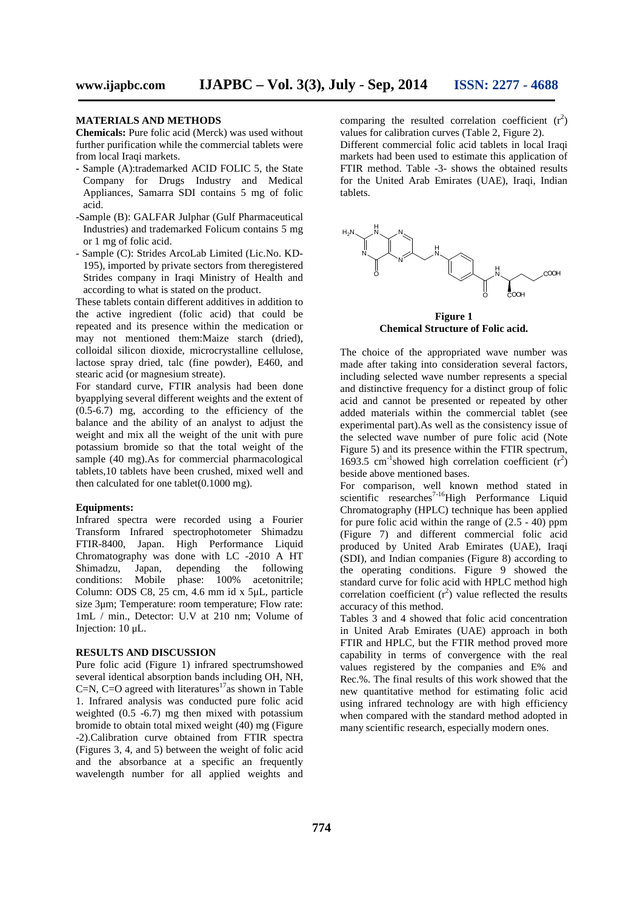#### **MATERIALS AND METHODS**

**Chemicals:** Pure folic acid (Merck) was used without further purification while the commercial tablets were from local Iraqi markets.

- **-** Sample (A):trademarked ACID FOLIC 5, the State Company for Drugs Industry and Medical Appliances, Samarra SDI contains 5 mg of folic acid.
- -Sample (B): GALFAR Julphar (Gulf Pharmaceutical Industries) and trademarked Folicum contains 5 mg or 1 mg of folic acid.
- Sample (C): Strides ArcoLab Limited (Lic.No. KD- 195), imported by private sectors from theregistered Strides company in Iraqi Ministry of Health and according to what is stated on the product.

These tablets contain different additives in addition to the active ingredient (folic acid) that could be repeated and its presence within the medication or may not mentioned them:Maize starch (dried), colloidal silicon dioxide, microcrystalline cellulose, lactose spray dried, talc (fine powder), E460, and stearic acid (or magnesium streate).

For standard curve, FTIR analysis had been done byapplying several different weights and the extent of (0.5-6.7) mg, according to the efficiency of the balance and the ability of an analyst to adjust the weight and mix all the weight of the unit with pure potassium bromide so that the total weight of the sample (40 mg).As for commercial pharmacological tablets,10 tablets have been crushed, mixed well and then calculated for one tablet(0.1000 mg).

#### **Equipments:**

Infrared spectra were recorded using a Fourier Transform Infrared spectrophotometer Shimadzu FTIR-8400, Japan. High Performance Liquid Chromatography was done with LC -2010 A HT Shimadzu, Japan, depending the following conditions: Mobile phase: 100% acetonitrile; Column: ODS C8, 25 cm, 4.6 mm id x 5μL, particle size 3μm; Temperature: room temperature; Flow rate: 1mL / min., Detector: U.V at 210 nm; Volume of Injection: 10 μL.

#### **RESULTS AND DISCUSSION**

Pure folic acid (Figure 1) infrared spectrumshowed several identical absorption bands including OH, NH, C=N, C=O agreed with literatures<sup>17</sup>as shown in Table 1. Infrared analysis was conducted pure folic acid weighted (0.5 -6.7) mg then mixed with potassium bromide to obtain total mixed weight (40) mg (Figure -2).Calibration curve obtained from FTIR spectra (Figures 3, 4, and 5) between the weight of folic acid and the absorbance at a specific an frequently wavelength number for all applied weights and

comparing the resulted correlation coefficient  $(r^2)$ values for calibration curves (Table 2, Figure 2). Different commercial folic acid tablets in local Iraqi

markets had been used to estimate this application of FTIR method. Table -3- shows the obtained results for the United Arab Emirates (UAE), Iraqi, Indian tablets.



**Figure 1 Chemical Structure of Folic acid.**

The choice of the appropriated wave number was made after taking into consideration several factors, including selected wave number represents a special and distinctive frequency for a distinct group of folic acid and cannot be presented or repeated by other added materials within the commercial tablet (see experimental part).As well as the consistency issue of the selected wave number of pure folic acid (Note Figure 5) and its presence within the FTIR spectrum, 1693.5 cm<sup>-1</sup>showed high correlation coefficient  $(r^2)$ beside above mentioned bases.

For comparison, well known method stated in For comparison, well with medicine Liquid<br>scientific researches<sup>7-16</sup>High Performance Liquid Chromatography (HPLC) technique has been applied for pure folic acid within the range of  $(2.5 - 40)$  ppm (Figure 7) and different commercial folic acid produced by United Arab Emirates (UAE), Iraqi (SDI), and Indian companies (Figure 8) according to the operating conditions. Figure 9 showed the standard curve for folic acid with HPLC method high correlation coefficient  $(r^2)$  value reflected the results accuracy of this method.

Tables 3 and 4 showed that folic acid concentration in United Arab Emirates (UAE) approach in both FTIR and HPLC, but the FTIR method proved more capability in terms of convergence with the real values registered by the companies and E% and Rec.%. The final results of this work showed that the new quantitative method for estimating folic acid using infrared technology are with high efficiency when compared with the standard method adopted in many scientific research, especially modern ones.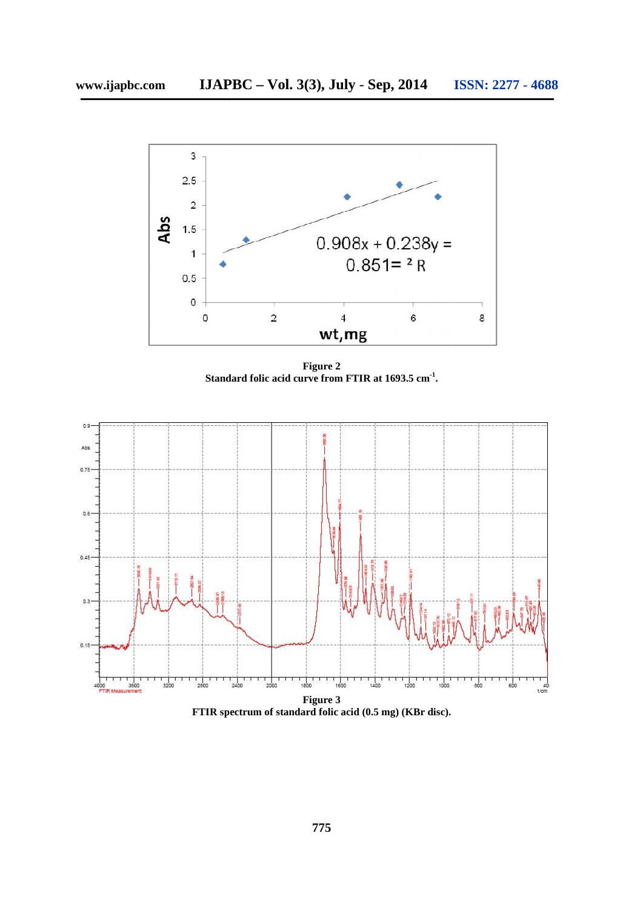

**Figure 2 Standard folic acid curve from FTIR at 1693.5 cm-1 .**



**FTIR spectrum of standard folic acid (0.5 mg) (KBr disc).**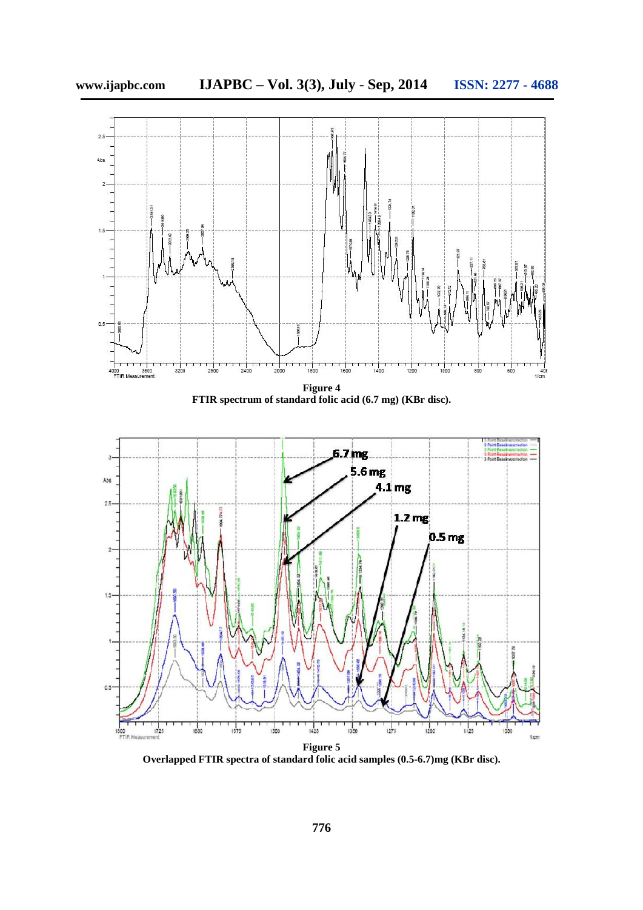



**Overlapped FTIR spectra of standard folic acid samples (0.5-6.7)mg (KBr disc).**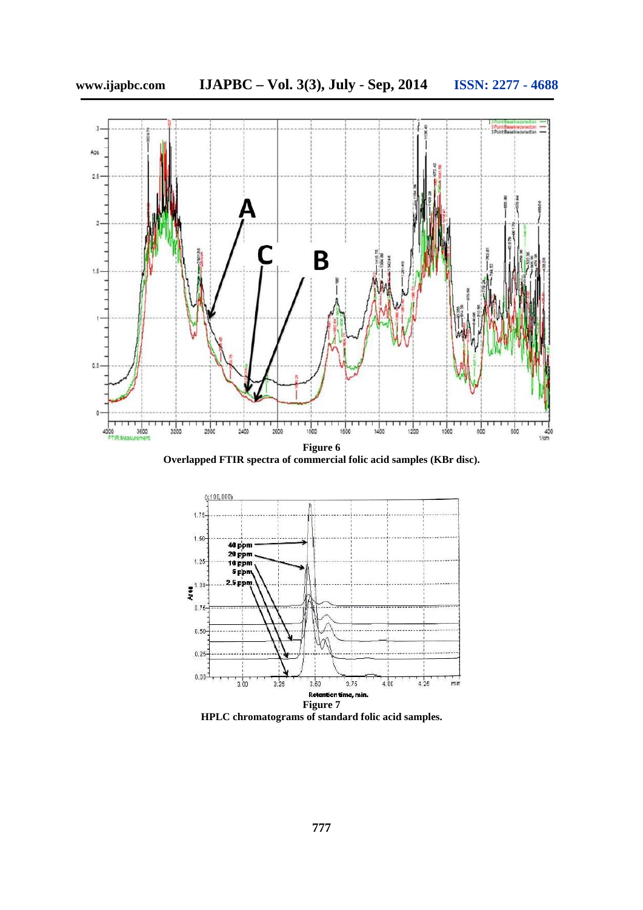

**Overlapped FTIR spectra of commercial folic acid samples (KBr disc).**



**HPLC chromatograms of standard folic acid samples.**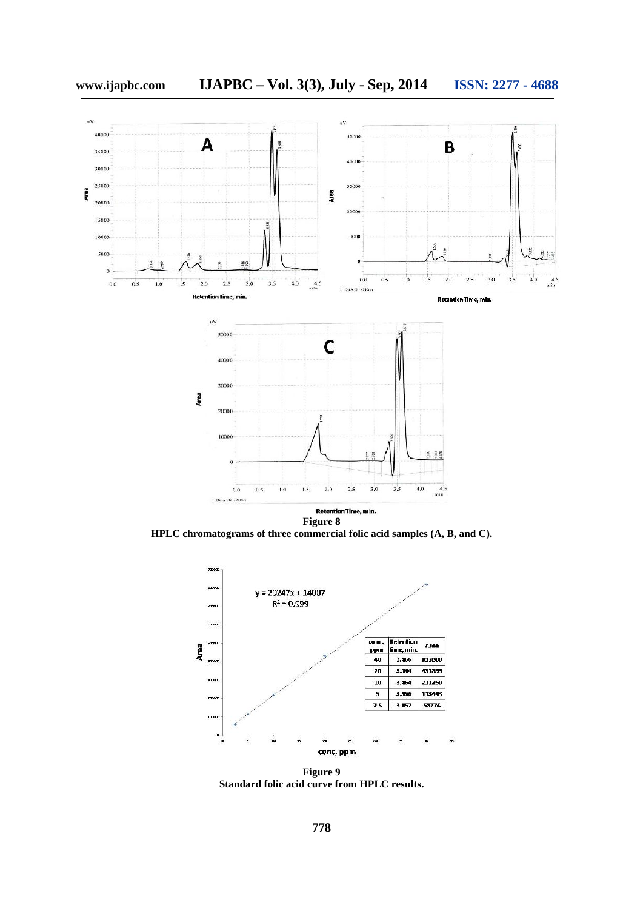

**Figure 8 HPLC chromatograms of three commercial folic acid samples (A, B, and C).**



**Figure 9 Standard folic acid curve from HPLC results.**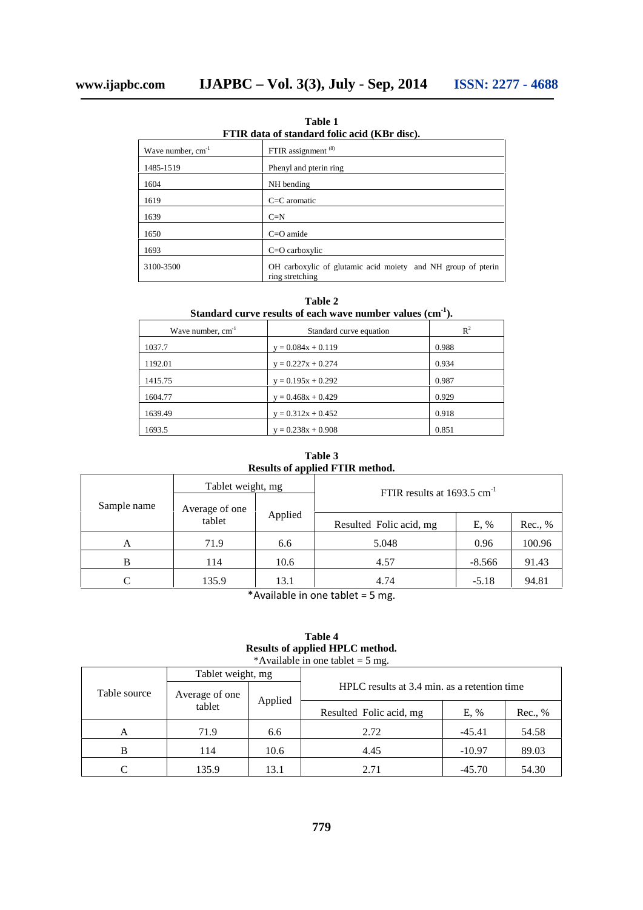Wave number,  $cm^{-1}$  FTIR assignment (8) 1485-1519 Phenyl and pterin ring 1604 NH bending 1619 C=C aromatic 1639 C=N 1650 C=O amide

**Table 1 FTIR data of standard folic acid (KBr disc).**

| 1639      | $C=N$                                                                           |
|-----------|---------------------------------------------------------------------------------|
| 1650      | $C = O$ amide                                                                   |
| 1693      | $C=O$ carboxylic                                                                |
| 3100-3500 | OH carboxylic of glutamic acid moiety and NH group of pterin<br>ring stretching |

**Table 2 Standard curve results of each wave number values (cm-1).**

| Wave number, $cm^{-1}$ | Standard curve equation | $R^2$ |
|------------------------|-------------------------|-------|
| 1037.7                 | $y = 0.084x + 0.119$    | 0.988 |
| 1192.01                | $y = 0.227x + 0.274$    | 0.934 |
| 1415.75                | $y = 0.195x + 0.292$    | 0.987 |
| 1604.77                | $y = 0.468x + 0.429$    | 0.929 |
| 1639.49                | $y = 0.312x + 0.452$    | 0.918 |
| 1693.5                 | $y = 0.238x + 0.908$    | 0.851 |

**Table 3 Results of applied FTIR method.**

| Sample name<br>Average of one<br>Applied<br>tablet<br>Resulted Folic acid, mg<br>E, %<br>Rec., %<br>5.048<br>0.96<br>100.96<br>6.6<br>71.9<br>A | Tablet weight, mg | FTIR results at $1693.5$ cm <sup>-1</sup> |  |  |
|-------------------------------------------------------------------------------------------------------------------------------------------------|-------------------|-------------------------------------------|--|--|
|                                                                                                                                                 |                   |                                           |  |  |
|                                                                                                                                                 |                   |                                           |  |  |
| 91.43<br>10.6<br>$-8.566$<br>114<br>B<br>4.57                                                                                                   |                   |                                           |  |  |
| C<br>135.9<br>13.1<br>94.81<br>4.74<br>$-5.18$                                                                                                  |                   |                                           |  |  |

\*Available in one tablet = 5 mg.

#### **Table 4 Results of applied HPLC method.** \*Available in one tablet  $= 5$  mg.

|              | Tablet weight, mg        |         |                                              |          |         |
|--------------|--------------------------|---------|----------------------------------------------|----------|---------|
| Table source | Average of one<br>tablet | Applied | HPLC results at 3.4 min. as a retention time |          |         |
|              |                          |         | Resulted Folic acid, mg                      | E, %     | Rec., % |
| А            | 71.9                     | 6.6     | 2.72                                         | $-45.41$ | 54.58   |
| B            | 114                      | 10.6    | 4.45                                         | $-10.97$ | 89.03   |
|              | 135.9                    | 13.1    | 2.71                                         | $-45.70$ | 54.30   |